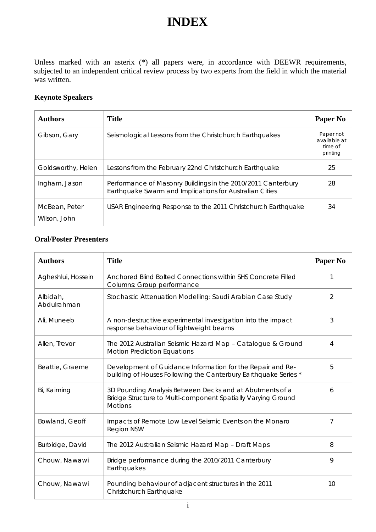## **INDEX**

Unless marked with an asterix (\*) all papers were, in accordance with DEEWR requirements, subjected to an independent critical review process by two experts from the field in which the material was written.

## **Keynote Speakers**

| <b>Authors</b>                | <b>Title</b>                                                                                                            | Paper No                                         |
|-------------------------------|-------------------------------------------------------------------------------------------------------------------------|--------------------------------------------------|
| Gibson, Gary                  | Seismological Lessons from the Christchurch Earthquakes                                                                 | Paper not<br>available at<br>time of<br>printing |
| Goldsworthy, Helen            | Lessons from the February 22nd Christchurch Earthquake                                                                  | 25                                               |
| Ingham, Jason                 | Performance of Masonry Buildings in the 2010/2011 Canterbury<br>Earthquake Swarm and Implications for Australian Cities | 28                                               |
| McBean, Peter<br>Wilson, John | USAR Engineering Response to the 2011 Christchurch Earthquake                                                           | 34                                               |

## **Oral/Poster Presenters**

| <b>Authors</b>          | <b>Title</b>                                                                                                                               | Paper No       |
|-------------------------|--------------------------------------------------------------------------------------------------------------------------------------------|----------------|
| Agheshlui, Hossein      | Anchored Blind Bolted Connections within SHS Concrete Filled<br>Columns: Group performance                                                 | 1              |
| Albidah,<br>Abdulrahman | Stochastic Attenuation Modelling: Saudi Arabian Case Study                                                                                 | 2              |
| Ali, Muneeb             | A non-destructive experimental investigation into the impact<br>response behaviour of lightweight beams                                    | 3              |
| Allen, Trevor           | The 2012 Australian Seismic Hazard Map - Catalogue & Ground<br><b>Motion Prediction Equations</b>                                          | $\overline{4}$ |
| Beattie, Graeme         | Development of Guidance Information for the Repair and Re-<br>building of Houses Following the Canterbury Earthquake Series *              | 5              |
| Bi, Kaiming             | 3D Pounding Analysis Between Decks and at Abutments of a<br>Bridge Structure to Multi-component Spatially Varying Ground<br><b>Motions</b> | 6              |
| Bowland, Geoff          | Impacts of Remote Low Level Seismic Events on the Monaro<br><b>Region NSW</b>                                                              | 7              |
| Burbidge, David         | The 2012 Australian Seismic Hazard Map - Draft Maps                                                                                        | 8              |
| Chouw, Nawawi           | Bridge performance during the 2010/2011 Canterbury<br>Earthquakes                                                                          | 9              |
| Chouw, Nawawi           | Pounding behaviour of adjacent structures in the 2011<br>Christchurch Earthquake                                                           | 10             |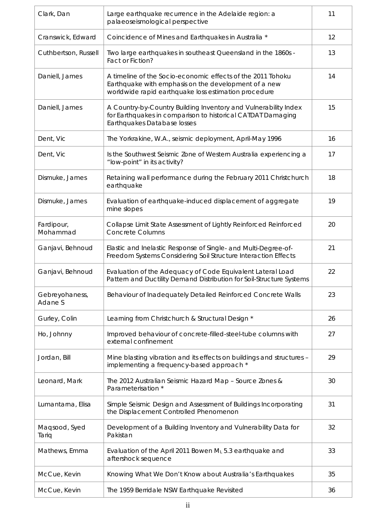| Clark, Dan                | Large earthquake recurrence in the Adelaide region: a<br>palaeoseismological perspective                                                                                    | 11 |
|---------------------------|-----------------------------------------------------------------------------------------------------------------------------------------------------------------------------|----|
| Cranswick, Edward         | Coincidence of Mines and Earthquakes in Australia *                                                                                                                         | 12 |
| Cuthbertson, Russell      | Two large earthquakes in southeast Queensland in the 1860s -<br>Fact or Fiction?                                                                                            | 13 |
| Daniell, James            | A timeline of the Socio-economic effects of the 2011 Tohoku<br>Earthquake with emphasis on the development of a new<br>worldwide rapid earthquake loss estimation procedure | 14 |
| Daniell, James            | A Country-by-Country Building Inventory and Vulnerability Index<br>for Earthquakes in comparison to historical CATDAT Damaging<br>Earthquakes Database losses               | 15 |
| Dent, Vic                 | The Yorkrakine, W.A., seismic deployment, April-May 1996                                                                                                                    | 16 |
| Dent, Vic                 | Is the Southwest Seismic Zone of Western Australia experiencing a<br>"low-point" in its activity?                                                                           | 17 |
| Dismuke, James            | Retaining wall performance during the February 2011 Christchurch<br>earthquake                                                                                              | 18 |
| Dismuke, James            | Evaluation of earthquake-induced displacement of aggregate<br>mine slopes                                                                                                   | 19 |
| Fardipour,<br>Mohammad    | Collapse Limit State Assessment of Lightly Reinforced Reinforced<br><b>Concrete Columns</b>                                                                                 | 20 |
| Ganjavi, Behnoud          | Elastic and Inelastic Response of Single- and Multi-Degree-of-<br>Freedom Systems Considering Soil Structure Interaction Effects                                            | 21 |
| Ganjavi, Behnoud          | Evaluation of the Adequacy of Code Equivalent Lateral Load<br>Pattern and Ductility Demand Distribution for Soil-Structure Systems                                          | 22 |
| Gebreyohaness,<br>Adane S | Behaviour of Inadequately Detailed Reinforced Concrete Walls                                                                                                                | 23 |
| Gurley, Colin             | Learning from Christchurch & Structural Design *                                                                                                                            | 26 |
| Ho, Johnny                | Improved behaviour of concrete-filled-steel-tube columns with<br>external confinement                                                                                       | 27 |
| Jordan, Bill              | Mine blasting vibration and its effects on buildings and structures -<br>implementing a frequency-based approach *                                                          | 29 |
| Leonard, Mark             | The 2012 Australian Seismic Hazard Map - Source Zones &<br>Parameterisation *                                                                                               | 30 |
| Lumantarna, Elisa         | Simple Seismic Design and Assessment of Buildings Incorporating<br>the Displacement Controlled Phenomenon                                                                   | 31 |
| Maqsood, Syed<br>Tariq    | Development of a Building Inventory and Vulnerability Data for<br>Pakistan                                                                                                  | 32 |
| Mathews, Emma             | Evaluation of the April 2011 Bowen ML 5.3 earthquake and<br>aftershock sequence                                                                                             | 33 |
| McCue, Kevin              | Knowing What We Don't Know about Australia's Earthquakes                                                                                                                    | 35 |
| McCue, Kevin              | The 1959 Berridale NSW Earthquake Revisited                                                                                                                                 | 36 |